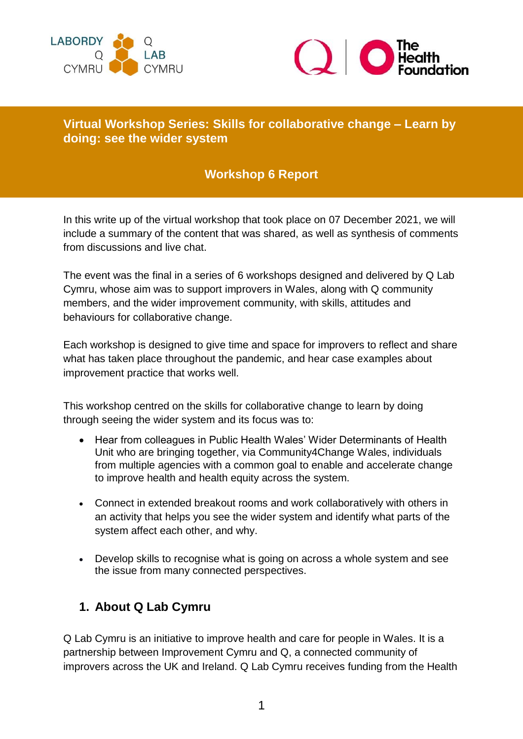



### **Virtual Workshop Series: Skills for collaborative change – Learn by doing: see the wider system**

### **Workshop 6 Report**

In this write up of the virtual workshop that took place on 07 December 2021, we will include a summary of the content that was shared, as well as synthesis of comments from discussions and live chat.

The event was the final in a series of 6 workshops designed and delivered by Q Lab Cymru, whose aim was to support improvers in Wales, along with Q community members, and the wider improvement community, with skills, attitudes and behaviours for collaborative change.

Each workshop is designed to give time and space for improvers to reflect and share what has taken place throughout the pandemic, and hear case examples about improvement practice that works well.

This workshop centred on the skills for collaborative change to learn by doing through seeing the wider system and its focus was to:

- Hear from colleagues in Public Health Wales' Wider Determinants of Health Unit who are bringing together, via Community4Change Wales, individuals from multiple agencies with a common goal to enable and accelerate change to improve health and health equity across the system.
- Connect in extended breakout rooms and work collaboratively with others in an activity that helps you see the wider system and identify what parts of the system affect each other, and why.
- Develop skills to recognise what is going on across a whole system and see the issue from many connected perspectives.

### **1. About Q Lab Cymru**

Q Lab Cymru is an initiative to improve health and care for people in Wales. It is a partnership between Improvement Cymru and Q, a connected community of improvers across the UK and Ireland. Q Lab Cymru receives funding from the Health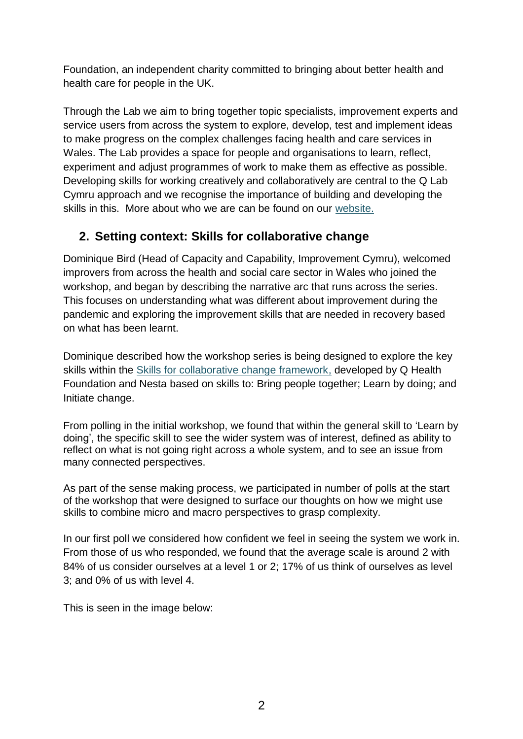Foundation, an independent charity committed to bringing about better health and health care for people in the UK.

Through the Lab we aim to bring together topic specialists, improvement experts and service users from across the system to explore, develop, test and implement ideas to make progress on the complex challenges facing health and care services in Wales. The Lab provides a space for people and organisations to learn, reflect, experiment and adjust programmes of work to make them as effective as possible. Developing skills for working creatively and collaboratively are central to the Q Lab Cymru approach and we recognise the importance of building and developing the skills in this. More about who we are can be found on our [website.](https://phw.nhs.wales/services-and-teams/improvement-cymru/q-lab-cymru/)

### **2. Setting context: Skills for collaborative change**

Dominique Bird (Head of Capacity and Capability, Improvement Cymru), welcomed improvers from across the health and social care sector in Wales who joined the workshop, and began by describing the narrative arc that runs across the series. This focuses on understanding what was different about improvement during the pandemic and exploring the improvement skills that are needed in recovery based on what has been learnt.

Dominique described how the workshop series is being designed to explore the key skills within the [Skills for collaborative change framework,](https://q.health.org.uk/resource/skills-for-collaborative-change/#:~:text=Skills%20for%20collaborative%20change%3A%20a%20map%20and%20user%20guide%20has,extensive%20experience%20of%20government%20innovation.) developed by Q Health Foundation and Nesta based on skills to: Bring people together; Learn by doing; and Initiate change.

From polling in the initial workshop, we found that within the general skill to 'Learn by doing', the specific skill to see the wider system was of interest, defined as ability to reflect on what is not going right across a whole system, and to see an issue from many connected perspectives.

As part of the sense making process, we participated in number of polls at the start of the workshop that were designed to surface our thoughts on how we might use skills to combine micro and macro perspectives to grasp complexity.

In our first poll we considered how confident we feel in seeing the system we work in. From those of us who responded, we found that the average scale is around 2 with 84% of us consider ourselves at a level 1 or 2; 17% of us think of ourselves as level 3; and 0% of us with level 4.

This is seen in the image below: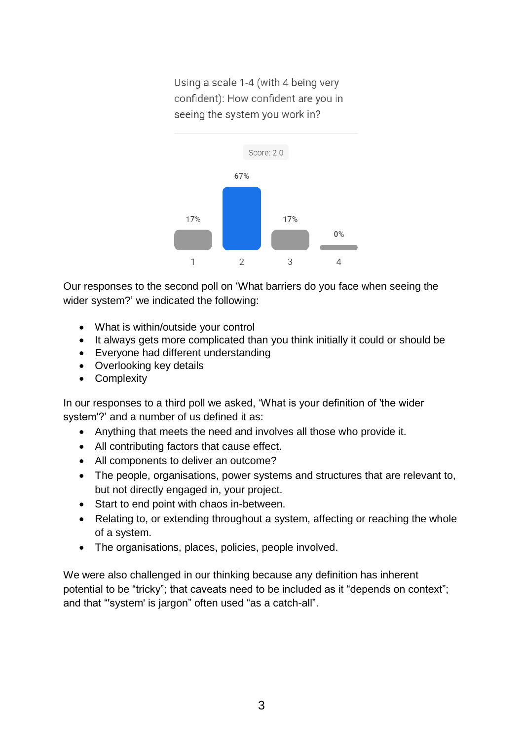Using a scale 1-4 (with 4 being very confident): How confident are you in seeing the system you work in?



Our responses to the second poll on 'What barriers do you face when seeing the wider system?' we indicated the following:

- What is within/outside your control
- It always gets more complicated than you think initially it could or should be
- Everyone had different understanding
- Overlooking key details
- Complexity

In our responses to a third poll we asked, 'What is your definition of 'the wider system'?' and a number of us defined it as:

- Anything that meets the need and involves all those who provide it.
- All contributing factors that cause effect.
- All components to deliver an outcome?
- The people, organisations, power systems and structures that are relevant to, but not directly engaged in, your project.
- Start to end point with chaos in-between.
- Relating to, or extending throughout a system, affecting or reaching the whole of a system.
- The organisations, places, policies, people involved.

We were also challenged in our thinking because any definition has inherent potential to be "tricky"; that caveats need to be included as it "depends on context"; and that "'system' is jargon" often used "as a catch-all".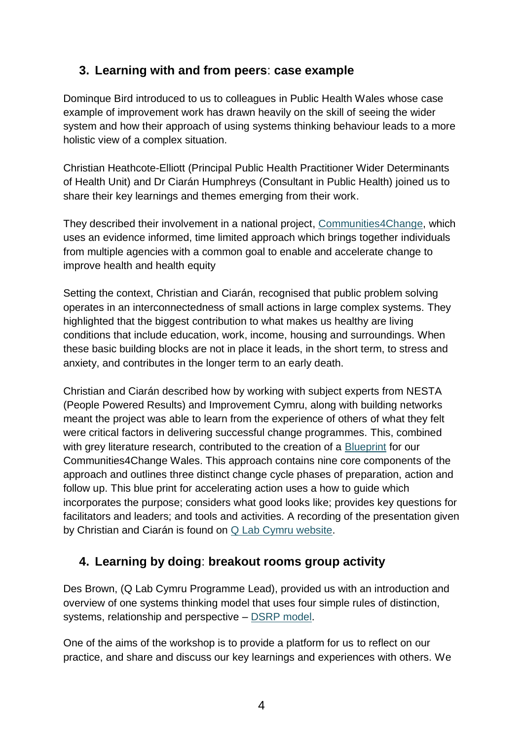### **3. Learning with and from peers**: **case example**

Dominque Bird introduced to us to colleagues in Public Health Wales whose case example of improvement work has drawn heavily on the skill of seeing the wider system and how their approach of using systems thinking behaviour leads to a more holistic view of a complex situation.

Christian Heathcote-Elliott (Principal Public Health Practitioner Wider Determinants of Health Unit) and Dr Ciarán Humphreys (Consultant in Public Health) joined us to share their key learnings and themes emerging from their work.

They described their involvement in a national project, Communities 4Change, which uses an evidence informed, time limited approach which brings together individuals from multiple agencies with a common goal to enable and accelerate change to improve health and health equity

Setting the context, Christian and Ciarán, recognised that public problem solving operates in an interconnectedness of small actions in large complex systems. They highlighted that the biggest contribution to what makes us healthy are living conditions that include education, work, income, housing and surroundings. When these basic building blocks are not in place it leads, in the short term, to stress and anxiety, and contributes in the longer term to an early death.

Christian and Ciarán described how by working with subject experts from NESTA (People Powered Results) and Improvement Cymru, along with building networks meant the project was able to learn from the experience of others of what they felt were critical factors in delivering successful change programmes. This, combined with grey literature research, contributed to the creation of a [Blueprint](https://publichealthnetwork.cymru/wp-content/uploads/2021/08/PHNC-C4C-Blueprint-V2.0.pdf) for our Communities4Change Wales. This approach contains nine core components of the approach and outlines three distinct change cycle phases of preparation, action and follow up. This blue print for accelerating action uses a how to guide which incorporates the purpose; considers what good looks like; provides key questions for facilitators and leaders; and tools and activities. A recording of the presentation given by Christian and Ciarán is found on [Q Lab Cymru website.](https://phw.nhs.wales/services-and-teams/improvement-cymru/q-lab-cymru/)

# **4. Learning by doing**: **breakout rooms group activity**

Des Brown, (Q Lab Cymru Programme Lead), provided us with an introduction and overview of one systems thinking model that uses four simple rules of distinction, systems, relationship and perspective – [DSRP model.](https://blog.cabreraresearch.org/the-four-simple-rules-of-systems-thinking)

One of the aims of the workshop is to provide a platform for us to reflect on our practice, and share and discuss our key learnings and experiences with others. We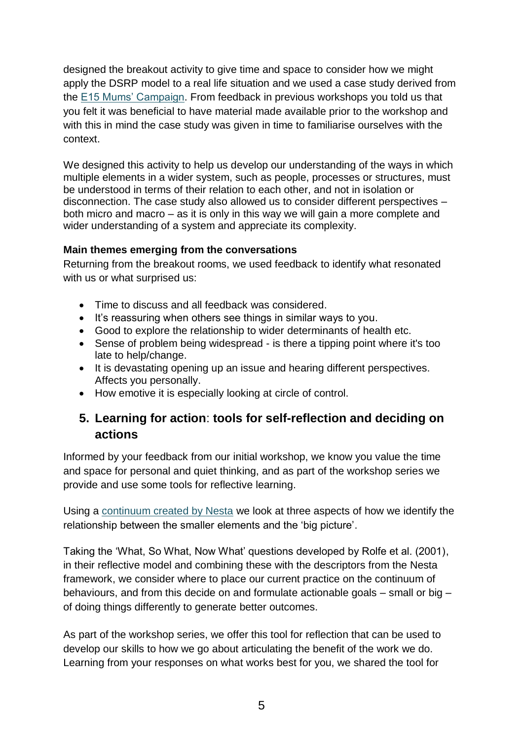designed the breakout activity to give time and space to consider how we might apply the DSRP model to a real life situation and we used a case study derived from the [E15 Mums' Campaign.](https://focuse15.org/) From feedback in previous workshops you told us that you felt it was beneficial to have material made available prior to the workshop and with this in mind the case study was given in time to familiarise ourselves with the context.

We designed this activity to help us develop our understanding of the ways in which multiple elements in a wider system, such as people, processes or structures, must be understood in terms of their relation to each other, and not in isolation or disconnection. The case study also allowed us to consider different perspectives – both micro and macro – as it is only in this way we will gain a more complete and wider understanding of a system and appreciate its complexity.

#### **Main themes emerging from the conversations**

Returning from the breakout rooms, we used feedback to identify what resonated with us or what surprised us:

- Time to discuss and all feedback was considered.
- It's reassuring when others see things in similar ways to you.
- Good to explore the relationship to wider determinants of health etc.
- Sense of problem being widespread is there a tipping point where it's too late to help/change.
- It is devastating opening up an issue and hearing different perspectives. Affects you personally.
- How emotive it is especially looking at circle of control.

### **5. Learning for action**: **tools for self-reflection and deciding on actions**

Informed by your feedback from our initial workshop, we know you value the time and space for personal and quiet thinking, and as part of the workshop series we provide and use some tools for reflective learning.

Using a [continuum created by Nesta](https://www.nesta.org.uk/toolkit/skills-attitudes-and-behaviours-fuel-public-innovation/) we look at three aspects of how we identify the relationship between the smaller elements and the 'big picture'.

Taking the 'What, So What, Now What' questions developed by Rolfe et al. (2001), in their reflective model and combining these with the descriptors from the Nesta framework, we consider where to place our current practice on the continuum of behaviours, and from this decide on and formulate actionable goals – small or big – of doing things differently to generate better outcomes.

As part of the workshop series, we offer this tool for reflection that can be used to develop our skills to how we go about articulating the benefit of the work we do. Learning from your responses on what works best for you, we shared the tool for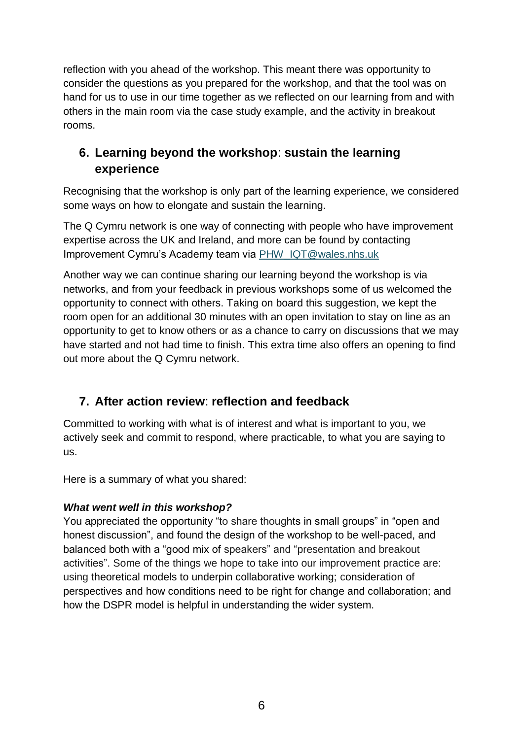reflection with you ahead of the workshop. This meant there was opportunity to consider the questions as you prepared for the workshop, and that the tool was on hand for us to use in our time together as we reflected on our learning from and with others in the main room via the case study example, and the activity in breakout rooms.

# **6. Learning beyond the workshop**: **sustain the learning experience**

Recognising that the workshop is only part of the learning experience, we considered some ways on how to elongate and sustain the learning.

The Q Cymru network is one way of connecting with people who have improvement expertise across the UK and Ireland, and more can be found by contacting Improvement Cymru's Academy team via [PHW\\_IQT@wales.nhs.uk](mailto:PHW_IQT@wales.nhs.uk)

Another way we can continue sharing our learning beyond the workshop is via networks, and from your feedback in previous workshops some of us welcomed the opportunity to connect with others. Taking on board this suggestion, we kept the room open for an additional 30 minutes with an open invitation to stay on line as an opportunity to get to know others or as a chance to carry on discussions that we may have started and not had time to finish. This extra time also offers an opening to find out more about the Q Cymru network.

# **7. After action review**: **reflection and feedback**

Committed to working with what is of interest and what is important to you, we actively seek and commit to respond, where practicable, to what you are saying to us.

Here is a summary of what you shared:

### *What went well in this workshop?*

You appreciated the opportunity "to share thoughts in small groups" in "open and honest discussion", and found the design of the workshop to be well-paced, and balanced both with a "good mix of speakers" and "presentation and breakout activities". Some of the things we hope to take into our improvement practice are: using theoretical models to underpin collaborative working; consideration of perspectives and how conditions need to be right for change and collaboration; and how the DSPR model is helpful in understanding the wider system.